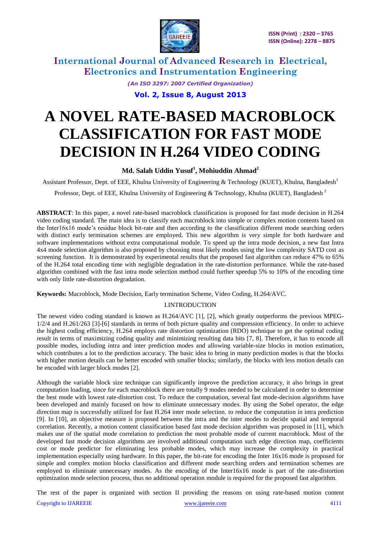

*(An ISO 3297: 2007 Certified Organization)*

**Vol. 2, Issue 8, August 2013**

# **A NOVEL RATE-BASED MACROBLOCK CLASSIFICATION FOR FAST MODE DECISION IN H.264 VIDEO CODING**

### **Md. Salah Uddin Yusuf<sup>1</sup> , Mohiuddin Ahmad<sup>2</sup>**

Assistant Professor, Dept. of EEE, Khulna University of Engineering & Technology (KUET), Khulna, Bangladesh<sup>1</sup>

Professor, Dept. of EEE, Khulna University of Engineering & Technology, Khulna (KUET), Bangladesh<sup>2</sup>

**ABSTRACT**: In this paper, a novel rate-based macroblock classification is proposed for fast mode decision in H.264 video coding standard. The main idea is to classify each macroblock into simple or complex motion contents based on the Inter16x16 mode's residue block bit-rate and then according to the classification different mode searching orders with distinct early termination schemes are employed. This new algorithm is very simple for both hardware and software implementations without extra computational module. To speed up the intra mode decision, a new fast Intra 4x4 mode selection algorithm is also proposed by choosing most likely modes using the low complexity SATD cost as screening function. It is demonstrated by experimental results that the proposed fast algorithm can reduce 47% to 65% of the H.264 total encoding time with negligible degradation in the rate-distortion performance. While the rate-based algorithm combined with the fast intra mode selection method could further speedup 5% to 10% of the encoding time with only little rate-distortion degradation.

**Keywords:** Macroblock, Mode Decision, Early termination Scheme, Video Coding, H.264/AVC.

### I.INTRODUCTION

The newest video coding standard is known as H.264/AVC [1], [2], which greatly outperforms the previous MPEG-1/2/4 and H.261/263 [3]-[6] standards in terms of both picture quality and compression efficiency. In order to achieve the highest coding efficiency, H.264 employs rate distortion optimization (RDO) technique to get the optimal coding result in terms of maximizing coding quality and minimizing resulting data bits [7, 8]. Therefore, it has to encode all possible modes, including intra and inter prediction modes and allowing variable-size blocks in motion estimation, which contributes a lot to the prediction accuracy. The basic idea to bring in many prediction modes is that the blocks with higher motion details can be better encoded with smaller blocks; similarly, the blocks with less motion details can be encoded with larger block modes [2].

Although the variable block size technique can significantly improve the prediction accuracy, it also brings in great computation loading, since for each macroblock there are totally 9 modes needed to be calculated in order to determine the best mode with lowest rate-distortion cost. To reduce the computation, several fast mode-decision algorithms have been developed and mainly focused on how to eliminate unnecessary modes. By using the Sobel operator, the edge direction map is successfully utilized for fast H.264 inter mode selection. to reduce the computation in intra prediction [9]. In [10], an objective measure is proposed between the intra and the inter modes to decide spatial and temporal correlation. Recently, a motion content classification based fast mode decision algorithm was proposed in [11], which makes use of the spatial mode correlation to prediction the most probable mode of current macroblock. Most of the developed fast mode decision algorithms are involved additional computation such edge direction map, coefficients cost or mode predictor for eliminating less probable modes, which may increase the complexity in practical implementation especially using hardware. In this paper, the bit-rate for encoding the Inter 16x16 mode is proposed for simple and complex motion blocks classification and different mode searching orders and termination schemes are employed to eliminate unnecessary modes. As the encoding of the Inter16x16 mode is part of the rate-distortion optimization mode selection process, thus no additional operation module is required for the proposed fast algorithm.

The rest of the paper is organized with section II providing the reasons on using rate-based motion content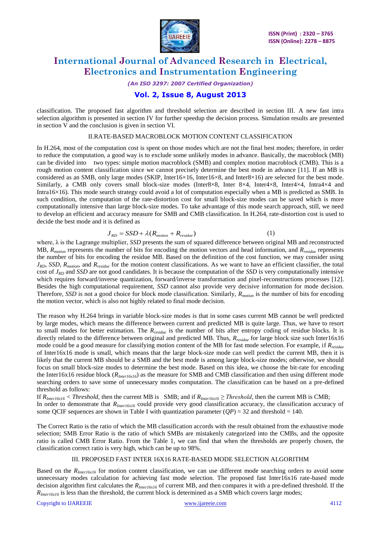

*(An ISO 3297: 2007 Certified Organization)*

### **Vol. 2, Issue 8, August 2013**

classification. The proposed fast algorithm and threshold selection are described in section III. A new fast intra selection algorithm is presented in section IV for further speedup the decision process. Simulation results are presented in section V and the conclusion is given in section VI.

#### II.RATE-BASED MACROBLOCK MOTION CONTENT CLASSIFICATION

In H.264, most of the computation cost is spent on those modes which are not the final best modes; therefore, in order to reduce the computation, a good way is to exclude some unlikely modes in advance. Basically, the macroblock (MB) can be divided into two types: simple motion macroblock (SMB) and complex motion macroblock (CMB). This is a rough motion content classification since we cannot precisely determine the best mode in advance [11]. If an MB is considered as an SMB, only large modes (SKIP, Inter16×16, Inter16×8, and Inter8×16) are selected for the best mode. Similarly, a CMB only covers small block-size modes (Inter8×8, Inter 8×4, Inter4×8, Inter4×4, Intra4×4 and Intra16×16). This mode search strategy could avoid a lot of computation especially when a MB is predicted as SMB. In such condition, the computation of the rate-distortion cost for small block-size modes can be saved which is more computationally intensive than large block-size modes. To take advantage of this mode search approach, still, we need to develop an efficient and accuracy measure for SMB and CMB classification. In H.264, rate-distortion cost is used to decide the best mode and it is defined as

#### $J_{RD} = SSD + \lambda ( R_{motion} + R_{residue} )$ (1)

where,  $\lambda$  is the Lagrange multiplier, *SSD* presents the sum of squared difference between original MB and reconstructed MB, *Rmotion* represents the number of bits for encoding the motion vectors and head information, and *Rresidue* represents the number of bits for encoding the residue MB. Based on the definition of the cost function, we may consider using *JRD*, *SSD*, *Rmotion*, and *Rresidue* for the motion content classifications. As we want to have an efficient classifier, the total cost of *JRD* and *SSD* are not good candidates. It is because the computation of the *SSD* is very computationally intensive which requires forward/inverse quantization, forward/inverse transformation and pixel-reconstructions processes [12]. Besides the high computational requirement, *SSD* cannot also provide very decisive information for mode decision. Therefore, *SSD* is not a good choice for block mode classification. Similarly, *Rmotion* is the number of bits for encoding the motion vector, which is also not highly related to final mode decision.

The reason why H.264 brings in variable block-size modes is that in some cases current MB cannot be well predicted by large modes, which means the difference between current and predicted MB is quite large. Thus, we have to resort to small modes for better estimation. The *Rresidue* is the number of bits after entropy coding of residue blocks. It is directly related to the difference between original and predicted MB. Thus, *Rresidue* for large block size such Inter16x16 mode could be a good measure for classifying motion content of the MB for fast mode selection. For example, if *Rresidue* of Inter16x16 mode is small, which means that the large block-size mode can well predict the current MB, then it is likely that the current MB should be a SMB and the best mode is among large block-size modes; otherwise, we should focus on small block-size modes to determine the best mode. Based on this idea, we choose the bit-rate for encoding the Inter16x16 residue block (*RInter16x16*) as the measure for SMB and CMB classification and then using different mode searching orders to save some of unnecessary modes computation. The classification can be based on a pre-defined threshold as follows:

If  $R_{Inter16x16}$  < Threshold, then the current MB is SMB; and if  $R_{Inter16x16}$  ≥ Threshold, then the current MB is CMB; In order to demonstrate that *RInter16x16* could provide very good classification accuracy, the classification accuracy of some QCIF sequences are shown in Table I with quantization parameter  $(QP) = 32$  and threshold = 140.

The Correct Ratio is the ratio of which the MB classification accords with the result obtained from the exhaustive mode selection; SMB Error Ratio is the ratio of which SMBs are mistakenly categorized into the CMBs, and the opposite ratio is called CMB Error Ratio. From the Table 1, we can find that when the thresholds are properly chosen, the classification correct ratio is very high, which can be up to 98%.

#### III. PROPOSED FAST INTER 16X16 RATE-BASED MODE SELECTION ALGORITHM

Based on the *RInter16x16* for motion content classification, we can use different mode searching orders to avoid some unnecessary modes calculation for achieving fast mode selection. The proposed fast Inter16x16 rate-based mode decision algorithm first calculates the *RInter16x16* of current MB, and then compares it with a pre-defined threshold. If the *RInter16x16* is less than the threshold, the current block is determined as a SMB which covers large modes;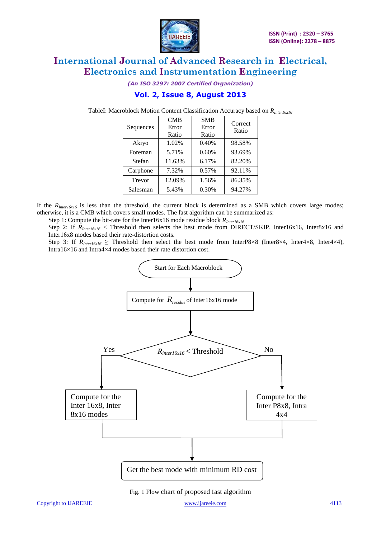

*(An ISO 3297: 2007 Certified Organization)*

### **Vol. 2, Issue 8, August 2013**

TableI: Macroblock Motion Content Classification Accuracy based on *RInter16x16*

| Sequences | CMB<br>Error<br>Ratio | <b>SMB</b><br>Error<br>Ratio | Correct<br>Ratio |
|-----------|-----------------------|------------------------------|------------------|
| Akiyo     | 1.02%                 | 0.40%                        | 98.58%           |
| Foreman   | 5.71%                 | 0.60%                        | 93.69%           |
| Stefan    | 11.63%                | 6.17%                        | 82.20%           |
| Carphone  | 7.32%                 | 0.57%                        | 92.11%           |
| Trevor    | 12.09%                | 1.56%                        | 86.35%           |
| Salesman  | 5.43%                 | 0.30%                        | 94.27%           |

If the *RInter16x16* is less than the threshold, the current block is determined as a SMB which covers large modes; otherwise, it is a CMB which covers small modes. The fast algorithm can be summarized as:

Step 1: Compute the bit-rate for the Inter16x16 mode residue block *RInter16x16*

Step 2: If  $R_{interf6x16}$  < Threshold then selects the best mode from DIRECT/SKIP, Inter16x16, Inter8x16 and Inter16x8 modes based their rate-distortion costs.

Step 3: If  $R_{Inter16x16} \geq$  Threshold then select the best mode from InterP8×8 (Inter8×4, Inter4×8, Inter4×4), Intra16×16 and Intra4×4 modes based their rate distortion cost.



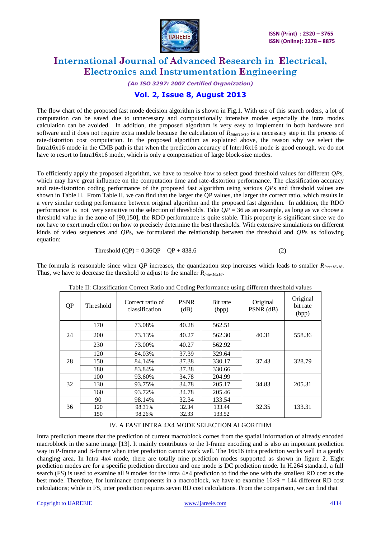

*(An ISO 3297: 2007 Certified Organization)*

### **Vol. 2, Issue 8, August 2013**

The flow chart of the proposed fast mode decision algorithm is shown in Fig.1. With use of this search orders, a lot of computation can be saved due to unnecessary and computationally intensive modes especially the intra modes calculation can be avoided. In addition, the proposed algorithm is very easy to implement in both hardware and software and it does not require extra module because the calculation of *RInter16x16* is a necessary step in the process of rate-distortion cost computation. In the proposed algorithm as explained above, the reason why we select the Intra16x16 mode in the CMB path is that when the prediction accuracy of Inter16x16 mode is good enough, we do not have to resort to Intra16x16 mode, which is only a compensation of large block-size modes.

To efficiently apply the proposed algorithm, we have to resolve how to select good threshold values for different *QP*s, which may have great influence on the computation time and rate-distortion performance. The classification accuracy and rate-distortion coding performance of the proposed fast algorithm using various *QP*s and threshold values are shown in Table II. From Table II, we can find that the larger the QP values, the larger the correct ratio, which results in a very similar coding performance between original algorithm and the proposed fast algorithm. In addition, the RDO performance is not very sensitive to the selection of thresholds. Take  $QP = 36$  as an example, as long as we choose a threshold value in the zone of [90,150], the RDO performance is quite stable. This property is significant since we do not have to exert much effort on how to precisely determine the best thresholds. With extensive simulations on different kinds of video sequences and *QP*s, we formulated the relationship between the threshold and *QP*s as following equation:

$$
Threshold (QP) = 0.36QP - QP + 838.6
$$
 (2)

The formula is reasonable since when *QP* increases, the quantization step increases which leads to smaller *RInter16x16*. Thus, we have to decrease the threshold to adjust to the smaller *RInter16x16*.

| QP | Threshold | Correct ratio of<br>classification | <b>PSNR</b><br>(dB) | Bit rate<br>(bpp) | Original<br>PSNR (dB) | Original<br>bit rate<br>(bpp) |
|----|-----------|------------------------------------|---------------------|-------------------|-----------------------|-------------------------------|
|    | 170       | 73.08%                             | 40.28               | 562.51            |                       |                               |
| 24 | 200       | 73.13%                             | 40.27               | 562.30            | 40.31                 | 558.36                        |
|    | 230       | 73.00%                             | 40.27               | 562.92            |                       |                               |
|    | 120       | 84.03%                             | 37.39               | 329.64            |                       |                               |
| 28 | 150       | 84.14%                             | 37.38               | 330.17            | 37.43                 | 328.79                        |
|    | 180       | 83.84%                             | 37.38               | 330.66            |                       |                               |
|    | 100       | 93.60%                             | 34.78               | 204.99            |                       |                               |
| 32 | 130       | 93.75%                             | 34.78               | 205.17            | 34.83                 | 205.31                        |
|    | 160       | 93.72%                             | 34.78               | 205.46            |                       |                               |
|    | 90        | 98.14%                             | 32.34               | 133.54            |                       |                               |
| 36 | 120       | 98.31%                             | 32.34               | 133.44            | 32.35                 | 133.31                        |
|    | 150       | 98.26%                             | 32.33               | 133.52            |                       |                               |

Table II: Classification Correct Ratio and Coding Performance using different threshold values

### IV. A FAST INTRA 4X4 MODE SELECTION ALGORITHM

Intra prediction means that the prediction of current macroblock comes from the spatial information of already encoded macroblock in the same image [13]. It mainly contributes to the I-frame encoding and is also an important prediction way in P-frame and B-frame when inter prediction cannot work well. The 16x16 intra prediction works well in a gently changing area. In Intra 4x4 mode, there are totally nine prediction modes supported as shown in figure 2. Eight prediction modes are for a specific prediction direction and one mode is DC prediction mode. In H.264 standard, a full search (FS) is used to examine all 9 modes for the Intra  $4\times4$  prediction to find the one with the smallest RD cost as the best mode. Therefore, for luminance components in a macroblock, we have to examine 16×9 = 144 different RD cost calculations; while in FS, inter prediction requires seven RD cost calculations. From the comparison, we can find that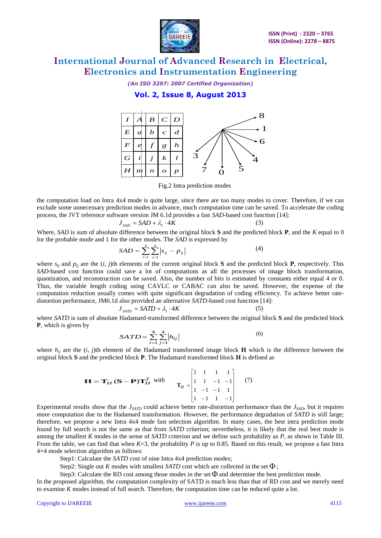

*(An ISO 3297: 2007 Certified Organization)*

### **Vol. 2, Issue 8, August 2013**



Fig.2 Intra prediction modes

the computation load on Intra 4x4 mode is quite large, since there are too many modes to cover. Therefore, if we can exclude some unnecessary prediction modes in advance, much computation time can be saved. To accelerate the coding process, the JVT reference software version JM 6.1d provides a fast *SAD*-based cost function [14]:

$$
J_{SAD} = SAD + \lambda_1 \cdot 4K \tag{3}
$$

Where, *SAD* is sum of absolute difference between the original block **S** and the predicted block **P**, and the *K* equal to 0 for the probable mode and 1 for the other modes. The *SAD* is expressed by

$$
SAD = \sum_{i=1}^{4} \sum_{j=1}^{4} \left| s_{ij} - p_{ij} \right| \tag{4}
$$

where  $s_{ij}$  and  $p_{ij}$  are the  $(i, j)$ th elements of the current original block **S** and the predicted block **P**, respectively. This *SAD*-based cost function could save a lot of computations as all the processes of image block transformation, quantization, and reconstruction can be saved. Also, the number of bits is estimated by constants either equal 4 or 0. Thus, the variable length coding using CAVLC or CABAC can also be saved. However, the expense of the computation reduction usually comes with quite significant degradation of coding efficiency. To achieve better ratedistortion performance, JM6.1d also provided an alternative *SATD*-based cost function [14]:

$$
J_{SATD} = SATD + \lambda_1 \cdot 4K \tag{5}
$$

where *SATD* is sum of absolute Hadamard-transformed difference between the original block **S** and the predicted block **P**, which is given by

$$
SATD = \sum_{i=1}^{4} \sum_{j=1}^{4} |h_{ij}|
$$
 (6)

where *hij* are the (*i, j*)th element of the Hadamard transformed image block **H** which is the difference between the original block **S** and the predicted block **P**. The Hadamard transformed block **H** is defined as

$$
\mathbf{H} = \mathbf{T}_{H} (\mathbf{S} - \mathbf{P}) \mathbf{T}_{H}^{T} \text{ with } \mathbf{T}_{H} = \begin{bmatrix} 1 & 1 & 1 & 1 \\ 1 & 1 & -1 & -1 \\ 1 & -1 & -1 & 1 \\ 1 & -1 & 1 & -1 \end{bmatrix} \quad (7)
$$

Experimental results show that the *JSATD* could achieve better rate-distortion performance than the *JSAD*, but it requires more computation due to the Hadamard transformation. However, the performance degradation of *SATD* is still large; therefore, we propose a new Intra 4x4 mode fast selection algorithm. In many cases, the best intra prediction mode found by full search is not the same as that from *SATD* criterion; nevertheless, it is likely that the real best mode is among the smallest *K* modes in the sense of *SATD* criterion and we define such probability as *P*, as shown in Table III. From the table, we can find that when *K*=3, the probability *P* is up to 0.85. Based on this result, we propose a fast Intra 4×4 mode selection algorithm as follows:

Step1: Calculate the *SATD* cost of nine Intra 4x4 prediction modes;

Step2: Single out K modes with smallest SATD cost which are collected in the set  $\Phi$ ;

Step3: Calculate the RD cost among those modes in the set  $\Phi$  and determine the best prediction mode.

In the proposed algorithm, the computation complexity of SATD is much less than that of RD cost and we merely need to examine *K* modes instead of full search. Therefore, the computation time can be reduced quite a lot.

#### Copyright to IJAREEIE [www.ijareeie.com](http://www.ijareeie.com/) 4115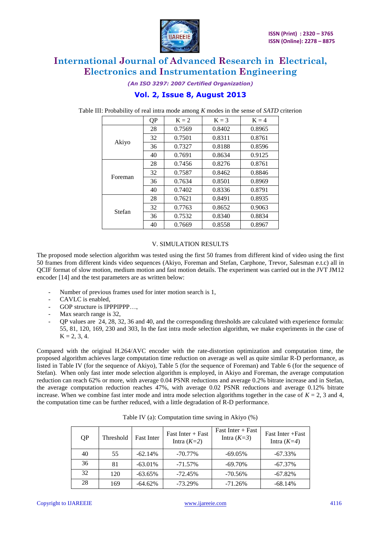

*(An ISO 3297: 2007 Certified Organization)*

### **Vol. 2, Issue 8, August 2013**

|         | QP | $K = 2$ | $K = 3$ | $K = 4$ |
|---------|----|---------|---------|---------|
|         | 28 | 0.7569  | 0.8402  | 0.8965  |
|         | 32 | 0.7501  | 0.8311  | 0.8761  |
| Akiyo   | 36 | 0.7327  | 0.8188  | 0.8596  |
|         | 40 | 0.7691  | 0.8634  | 0.9125  |
|         | 28 | 0.7456  | 0.8276  | 0.8761  |
| Foreman | 32 | 0.7587  | 0.8462  | 0.8846  |
|         | 36 | 0.7634  | 0.8501  | 0.8969  |
|         | 40 | 0.7402  | 0.8336  | 0.8791  |
|         | 28 | 0.7621  | 0.8491  | 0.8935  |
| Stefan  | 32 | 0.7763  | 0.8652  | 0.9063  |
|         | 36 | 0.7532  | 0.8340  | 0.8834  |
|         | 40 | 0.7669  | 0.8558  | 0.8967  |

Table III: Probability of real intra mode among *K* modes in the sense of *SATD* criterion

### V. SIMULATION RESULTS

The proposed mode selection algorithm was tested using the first 50 frames from different kind of video using the first 50 frames from different kinds video sequences (Akiyo, Foreman and Stefan, Carphone, Trevor, Salesman e.t.c) all in QCIF format of slow motion, medium motion and fast motion details. The experiment was carried out in the JVT JM12 encoder [14] and the test parameters are as written below:

- Number of previous frames used for inter motion search is 1,
- CAVLC is enabled,
- GOP structure is IPPPIPPP....
- Max search range is 32.
- QP values are 24, 28, 32, 36 and 40, and the corresponding thresholds are calculated with experience formula: 55, 81, 120, 169, 230 and 303, In the fast intra mode selection algorithm, we make experiments in the case of  $K = 2, 3, 4.$

Compared with the original H.264/AVC encoder with the rate-distortion optimization and computation time, the proposed algorithm achieves large computation time reduction on average as well as quite similar R-D performance, as listed in Table IV (for the sequence of Akiyo), Table 5 (for the sequence of Foreman) and Table 6 (for the sequence of Stefan). When only fast inter mode selection algorithm is employed, in Akiyo and Foreman, the average computation reduction can reach 62% or more, with average 0.04 PSNR reductions and average 0.2% bitrate increase and in Stefan, the average computation reduction reaches 47%, with average 0.02 PSNR reductions and average 0.12% bitrate increase. When we combine fast inter mode and intra mode selection algorithms together in the case of  $K = 2$ , 3 and 4, the computation time can be further reduced, with a little degradation of R-D performance.

| QP | <b>Threshold</b> | <b>Fast Inter</b> | Fast Inter + Fast<br>Intra $(K=2)$ | Fast Inter $+$ Fast<br>Intra $(K=3)$ | Fast Inter + Fast<br>Intra $(K=4)$ |
|----|------------------|-------------------|------------------------------------|--------------------------------------|------------------------------------|
| 40 | 55               | $-62.14%$         | $-70.77\%$                         | $-69.05%$                            | $-67.33\%$                         |
| 36 | 81               | $-63.01\%$        | $-71.57\%$                         | $-69.70\%$                           | $-67.37\%$                         |
| 32 | 120              | $-63.65\%$        | $-72.45%$                          | $-70.56%$                            | $-67.82%$                          |
| 28 | 169              | $-64.62\%$        | $-73.29%$                          | $-71.26%$                            | $-68.14%$                          |

Table IV (a): Computation time saving in Akiyo (%)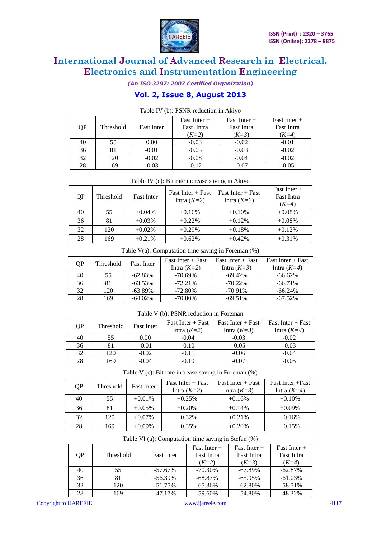

*(An ISO 3297: 2007 Certified Organization)*

### **Vol. 2, Issue 8, August 2013**

|    | $1.0018 + 1.0071 + 0.0111 + 0.0000 + 0.0011 + 0.0001 + 0.0001 + 0.0001 + 0.0001 + 0.0001 + 0.0001 + 0.0001 + 0.0001 + 0.0001 + 0.0001 + 0.0001 + 0.0001 + 0.0001 + 0.0001 + 0.0001 + 0.0001 + 0.0001 + 0.0001 + 0.0001 + 0.0001 + 0.0001 + 0.0001 + 0.00$ |                   |                |                   |                   |  |  |
|----|-----------------------------------------------------------------------------------------------------------------------------------------------------------------------------------------------------------------------------------------------------------|-------------------|----------------|-------------------|-------------------|--|--|
|    |                                                                                                                                                                                                                                                           |                   | Fast Inter $+$ | Fast Inter $+$    | Fast Inter $+$    |  |  |
| QP | Threshold                                                                                                                                                                                                                                                 | <b>Fast Inter</b> | Fast Intra     | <b>Fast Intra</b> | <b>Fast Intra</b> |  |  |
|    |                                                                                                                                                                                                                                                           |                   | $(K=2)$        | $(K=3)$           | $(K=4)$           |  |  |
| 40 | 55                                                                                                                                                                                                                                                        | 0.00              | $-0.03$        | $-0.02$           | $-0.01$           |  |  |
| 36 |                                                                                                                                                                                                                                                           | $-0.01$           | $-0.05$        | $-0.03$           | $-0.02$           |  |  |
| 32 | 120                                                                                                                                                                                                                                                       | $-0.02$           | $-0.08$        | $-0.04$           | $-0.02$           |  |  |
| 28 | 169                                                                                                                                                                                                                                                       | $-0.03$           | $-0.12$        | $-0.07$           | $-0.05$           |  |  |

#### Table IV (b): PSNR reduction in Akiyo

Table IV (c): Bit rate increase saving in Akiyo  $QP$  Threshold Fast Inter Fast Intra (*K=2*) Fast Inter + Fast Intra  $(K=3)$ Fast Inter + Fast Intra (*K=4*) 40 55 +0.04% +0.16% +0.10% +0.08% 36 81 +0.03% +0.22% +0.12% +0.12% +0.08% 32 120 +0.02% +0.29% +0.18% +0.12%

|  | Table $V(a)$ : Computation time saving in Foreman $(\%)$ |  |  |  |
|--|----------------------------------------------------------|--|--|--|
|  |                                                          |  |  |  |

28 169 +0.21% +0.62% +0.42% +0.31%

| ΟP | Threshold | <b>Fast Inter</b> | $Fast$ Inter + Fast | $Fast$ Inter + Fast | $Fast$ Inter + Fast |
|----|-----------|-------------------|---------------------|---------------------|---------------------|
|    |           |                   | Intra $(K=2)$       | Intra $(K=3)$       | Intra $(K=4)$       |
| 40 | 55        | $-62.83%$         | $-70.69\%$          | $-69.42\%$          | $-66.62\%$          |
| 36 | 81        | $-63.53\%$        | $-72.21\%$          | $-70.22\%$          | $-66.71\%$          |
| 32 | 120       | $-63.89\%$        | $-72.80\%$          | $-70.91\%$          | $-66.24\%$          |
| 28 | 169       | $-64.02\%$        | $-70.80\%$          | $-69.51%$           | $-67.52\%$          |

#### Table V (b): PSNR reduction in Foreman

| OΡ | Threshold | <b>Fast Inter</b> | $Fast$ Inter + Fast | $Fast$ Inter + Fast | $Fast$ Inter + Fast |
|----|-----------|-------------------|---------------------|---------------------|---------------------|
|    |           |                   | Intra $(K=2)$       | Intra $(K=3)$       | Intra $(K=4)$       |
| 40 |           | 0.00              | $-0.04$             | $-0.03$             | $-0.02$             |
| 36 |           | $-0.01$           | $-0.10$             | $-0.05$             | $-0.03$             |
| 32 | 120       | $-0.02$           | $-0.11$             | $-0.06$             | $-0.04$             |
| 28 | 169       | $-0.04$           | $-0.10$             | $-0.07$             | $-0.05$             |

Table V (c): Bit rate increase saving in Foreman (%)

| QP | Threshold | <b>Fast Inter</b> | $Fast$ Inter + Fast<br>Intra $(K=2)$ | $Fast$ Inter + Fast<br>Intra $(K=3)$ | Fast Inter + Fast<br>Intra $(K=4)$ |
|----|-----------|-------------------|--------------------------------------|--------------------------------------|------------------------------------|
| 40 | 55        | $+0.01\%$         | $+0.25%$                             | $+0.16%$                             | $+0.10%$                           |
| 36 | 81        | $+0.05%$          | $+0.20%$                             | $+0.14%$                             | $+0.09\%$                          |
| 32 | 120       | $+0.07\%$         | $+0.32\%$                            | $+0.21\%$                            | $+0.16%$                           |
| 28 | 169       | $+0.09\%$         | $+0.35%$                             | $+0.20%$                             | $+0.15%$                           |

Table VI (a): Computation time saving in Stefan (%)

| QP | <b>Threshold</b> | <b>Fast Inter</b> | Fast Inter $+$<br><b>Fast Intra</b><br>$(K=2)$ | Fast Inter $+$<br><b>Fast Intra</b><br>$(K=3)$ | Fast Inter $+$<br><b>Fast Intra</b><br>$(K=4)$ |
|----|------------------|-------------------|------------------------------------------------|------------------------------------------------|------------------------------------------------|
| 40 | 55               | $-57.67\%$        | $-70.30\%$                                     | $-67.89%$                                      | $-62.87%$                                      |
| 36 |                  | $-56.39\%$        | $-68.87\%$                                     | $-65.95%$                                      | $-61.03%$                                      |
| 32 | 120              | $-51.75\%$        | $-65.36\%$                                     | $-62.80%$                                      | $-58.71%$                                      |
| 28 | 169              | $-47.17\%$        | $-59.60\%$                                     | $-54.80%$                                      | $-48.32%$                                      |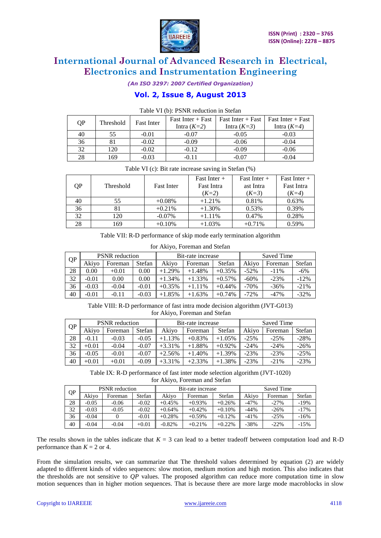

*(An ISO 3297: 2007 Certified Organization)*

### **Vol. 2, Issue 8, August 2013**

|    | Table VI (b). I BINN Teduction in Stefan |                   |                     |                     |                     |  |
|----|------------------------------------------|-------------------|---------------------|---------------------|---------------------|--|
| QP | Threshold                                | <b>Fast Inter</b> | Fast Inter $+$ Fast | $Fast$ Inter + Fast | Fast Inter $+$ Fast |  |
|    |                                          | Intra $(K=2)$     | Intra $(K=3)$       | Intra $(K=4)$       |                     |  |
| 40 | 55                                       | $-0.01$           | $-0.07$             | $-0.05$             | $-0.03$             |  |
| 36 |                                          | $-0.02$           | $-0.09$             | $-0.06$             | $-0.04$             |  |
| 32 | 120                                      | $-0.02$           | $-0.12$             | $-0.09$             | $-0.06$             |  |
| 28 | 169                                      | $-0.03$           | $-0.11$             | $-0.07$             | $-0.04$             |  |

Table VI (b): PSNR reduction in Stefan

| Table VI (c): Bit rate increase saving in Stefan (%) |  |
|------------------------------------------------------|--|
|------------------------------------------------------|--|

|    |                  |                   | $Fast$ Inter $+$  | Fast Inter $+$ | Fast Inter $+$    |
|----|------------------|-------------------|-------------------|----------------|-------------------|
| QP | <b>Threshold</b> | <b>Fast Inter</b> | <b>Fast Intra</b> | ast Intra      | <b>Fast Intra</b> |
|    |                  |                   | $(K=2)$           | $(K=3)$        | $(K=4)$           |
| 40 | 55               | $+0.08\%$         | $+1.21%$          | 0.81%          | 0.63%             |
| 36 |                  | $+0.21%$          | $+1.30%$          | 0.53%          | 0.39%             |
| 32 | 120              | $-0.07\%$         | $+1.11\%$         | 0.47%          | 0.28%             |
| 28 | 169              | $+0.10%$          | $+1.03%$          | $+0.71%$       | 0.59%             |

Table VII: R-D performance of skip mode early termination algorithm

| QP | <b>PSNR</b> reduction |         |         | Bit-rate increase |          |           | Saved Time |         |        |
|----|-----------------------|---------|---------|-------------------|----------|-----------|------------|---------|--------|
|    | Akivo                 | Foreman | Stefan  | Akivo             | Foreman  | Stefan    | Akivo      | Foreman | Stefan |
| 28 | $0.00^{\circ}$        | $+0.01$ | 0.00    | $+1.29%$          | $+1.48%$ | $+0.35%$  | $-52\%$    | $-11\%$ | $-6%$  |
| 32 | $-0.01$               | 0.00    | 0.00    | $+1.34%$          | $+1.33%$ | $+0.57%$  | -60%       | $-23%$  | $-12%$ |
| 36 | $-0.03$               | -0.04   | $-0.01$ | $+0.35%$          | $+1.11%$ | $+0.44\%$ | $-70%$     | $-36%$  | $-21%$ |
| 40 | -0.01                 | -0.11   | $-0.03$ | $+1.85%$          | $+1.63%$ | $+0.74%$  | $-72%$     | $-47%$  | $-32%$ |

#### for Akiyo, Foreman and Stefan

Table VIII: R-D performance of fast intra mode decision algorithm (JVT-G013) for Akiyo, Foreman and Stefan

| <b>QP</b> | <b>PSNR</b> reduction |         |         | Bit-rate increase |          |          | Saved Time |         |        |
|-----------|-----------------------|---------|---------|-------------------|----------|----------|------------|---------|--------|
|           | Akivo                 | Foreman | Stefan  | Akivo             | Foreman  | Stefan   | Akivo      | Foreman | Stefan |
| 28        | $-0.11$               | $-0.03$ | $-0.05$ | $+1.13%$          | $+0.83%$ | $+1.05%$ | $-25%$     | $-25%$  | $-28%$ |
| 32        | $+0.01$               | $-0.04$ | $-0.07$ | $+3.31%$          | $+1.88%$ | $+0.92%$ | $-24%$     | $-24%$  | $-26%$ |
| 36        | $-0.05$               | $-0.01$ | $-0.07$ | $+2.56%$          | $+1.40%$ | $+1.39%$ | $-23%$     | $-23%$  | $-25%$ |
| 40        | $+0.01$               | $+0.01$ | $-0.09$ | $+3.31%$          | $+2.33%$ | $+1.38%$ | $-23%$     | $-21%$  | $-23%$ |

Table IX: R-D performance of fast inter mode selection algorithm (JVT-1020) for Akiyo, Foreman and Stefan

| QP | <b>PSNR</b> reduction |         |         | Bit-rate increase |          |          | Saved Time |         |        |
|----|-----------------------|---------|---------|-------------------|----------|----------|------------|---------|--------|
|    | Akivo                 | Foreman | Stefan  | Akivo             | Foreman  | Stefan   | Akivo      | Foreman | Stefan |
| 28 | $-0.05$               | $-0.06$ | $-0.02$ | $+0.45%$          | $+0.93%$ | $+0.26%$ | -47%       | $-27%$  | $-19%$ |
| 32 | $-0.03$               | -0.05   | $-0.02$ | $+0.64%$          | $+0.42%$ | $+0.10%$ | -44%       | $-26%$  | $-17%$ |
| 36 | $-0.04$               |         | $-0.01$ | $+0.28%$          | $+0.59%$ | $+0.12%$ | -41%       | $-25%$  | $-16%$ |
| 40 | $-0.04$               | $-0.04$ | $+0.01$ | $-0.82%$          | $+0.21%$ | $+0.22%$ | $-38%$     | $-22\%$ | $-15%$ |

The results shown in the tables indicate that  $K = 3$  can lead to a better tradeoff between computation load and R-D performance than  $K = 2$  or 4.

From the simulation results, we can summarize that The threshold values determined by equation (2) are widely adapted to different kinds of video sequences: slow motion, medium motion and high motion. This also indicates that the thresholds are not sensitive to *QP* values. The proposed algorithm can reduce more computation time in slow motion sequences than in higher motion sequences. That is because there are more large mode macroblocks in slow